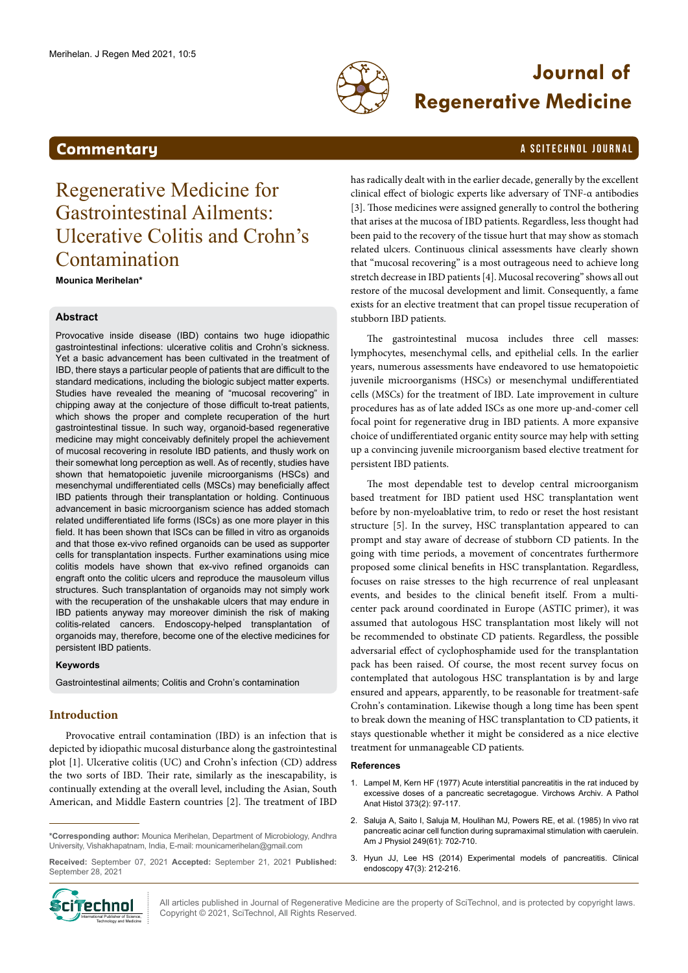

# **Journal of Regenerative Medicine**

### <span id="page-0-0"></span>**Commentary A SCITECHNOL JOURNAL**

## Regenerative Medicine for Gastrointestinal Ailments: Ulcerative Colitis and Crohn's Contamination

**Mounica Merihelan\***

#### **Abstract**

Provocative inside disease (IBD) contains two huge idiopathic gastrointestinal infections: ulcerative colitis and Crohn's sickness. Yet a basic advancement has been cultivated in the treatment of IBD, there stays a particular people of patients that are difficult to the standard medications, including the biologic subject matter experts. Studies have revealed the meaning of "mucosal recovering" in chipping away at the conjecture of those difficult to-treat patients, which shows the proper and complete recuperation of the hurt gastrointestinal tissue. In such way, organoid-based regenerative medicine may might conceivably definitely propel the achievement of mucosal recovering in resolute IBD patients, and thusly work on their somewhat long perception as well. As of recently, studies have shown that hematopoietic juvenile microorganisms (HSCs) and mesenchymal undifferentiated cells (MSCs) may beneficially affect IBD patients through their transplantation or holding. Continuous advancement in basic microorganism science has added stomach related undifferentiated life forms (ISCs) as one more player in this field. It has been shown that ISCs can be filled in vitro as organoids and that those ex-vivo refined organoids can be used as supporter cells for transplantation inspects. Further examinations using mice colitis models have shown that ex-vivo refined organoids can engraft onto the colitic ulcers and reproduce the mausoleum villus structures. Such transplantation of organoids may not simply work with the recuperation of the unshakable ulcers that may endure in IBD patients anyway may moreover diminish the risk of making colitis-related cancers. Endoscopy-helped transplantation of organoids may, therefore, become one of the elective medicines for persistent IBD patients.

#### **Keywords**

Gastrointestinal ailments; Colitis and Crohn's contamination

### **Introduction**

Provocative entrail contamination (IBD) is an infection that is depicted by idiopathic mucosal disturbance along the gastrointestinal plot [1]. Ulcerative colitis (UC) and Crohn's infection (CD) address the two sorts of IBD. Their rate, similarly as the inescapability, is continually extending at the overall level, including the Asian, South American, and Middle Eastern countries [2]. The treatment of IBD

**\*Corresponding author:** Mounica Merihelan, Department of Microbiology, Andhra University, Vishakhapatnam, India, E-mail: [mounicamerihelan@gmail.com](mailto:mounicamerihelan@gmail.com)

**Received:** September 07, 2021 **Accepted:** September 21, 2021 **Published:** September 28, 2021



has radically dealt with in the earlier decade, generally by the excellent clinical effect of biologic experts like adversary of TNF-α antibodies [3]. Those medicines were assigned generally to control the bothering that arises at the mucosa of IBD patients. Regardless, less thought had been paid to the recovery of the tissue hurt that may show as stomach related ulcers. Continuous clinical assessments have clearly shown that "mucosal recovering" is a most outrageous need to achieve long stretch decrease in IBD patients [4]. Mucosal recovering" shows all out restore of the mucosal development and limit. Consequently, a fame exists for an elective treatment that can propel tissue recuperation of stubborn IBD patients.

The gastrointestinal mucosa includes three cell masses: lymphocytes, mesenchymal cells, and epithelial cells. In the earlier years, numerous assessments have endeavored to use hematopoietic juvenile microorganisms (HSCs) or mesenchymal undifferentiated cells (MSCs) for the treatment of IBD. Late improvement in culture procedures has as of late added ISCs as one more up-and-comer cell focal point for regenerative drug in IBD patients. A more expansive choice of undifferentiated organic entity source may help with setting up a convincing juvenile microorganism based elective treatment for persistent IBD patients.

The most dependable test to develop central microorganism based treatment for IBD patient used HSC transplantation went before by non-myeloablative trim, to redo or reset the host resistant structure [5]. In the survey, HSC transplantation appeared to can prompt and stay aware of decrease of stubborn CD patients. In the going with time periods, a movement of concentrates furthermore proposed some clinical benefits in HSC transplantation. Regardless, focuses on raise stresses to the high recurrence of real unpleasant events, and besides to the clinical benefit itself. From a multicenter pack around coordinated in Europe (ASTIC primer), it was assumed that autologous HSC transplantation most likely will not be recommended to obstinate CD patients. Regardless, the possible adversarial effect of cyclophosphamide used for the transplantation pack has been raised. Of course, the most recent survey focus on contemplated that autologous HSC transplantation is by and large ensured and appears, apparently, to be reasonable for treatment-safe Crohn's contamination. Likewise though a long time has been spent to break down the meaning of HSC transplantation to CD patients, it stays questionable whether it might be considered as a nice elective treatment for unmanageable CD patients.

#### **References**

- 1. Lampel M, Ker[n HF \(1977\) Acute interstitial pancreatitis in the rat induced by](https://doi.org/10.1007/BF00432156)  [excessive doses of a pancreatic secretagogue. Virchows Archiv. A Pathol](https://doi.org/10.1007/BF00432156)  [Anat Histol 373\(2\): 97-117](https://doi.org/10.1007/BF00432156).
- 2. [Saluja A, Saito I, Saluja M, Houlihan MJ, Powers RE, et al. \(1985\) In vivo rat](https://doi.org/10.1152/ajpgi.1985.249.6.G702)  [pancreatic acinar cell function during supramaximal stimulation with caerulein.](https://doi.org/10.1152/ajpgi.1985.249.6.G702)  [Am J Physiol 249\(61\): 702-710.](https://doi.org/10.1152/ajpgi.1985.249.6.G702)
- 3. Hyun JJ, Lee HS (2014) Experimental models of pancreatitis. Clinical endoscopy 47(3): 212-216.

All articles published in Journal of Regenerative Medicine are the property of SciTechnol, and is protected by copyright laws. Copyright © 2021, SciTechnol, All Rights Reserved.